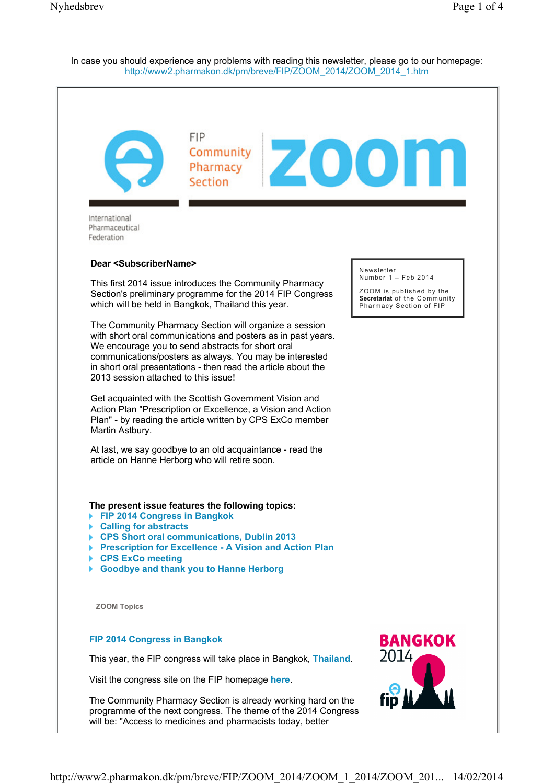In case you should experience any problems with reading this newsletter, please go to our homepage: http://www2.pharmakon.dk/pm/breve/FIP/ZOOM\_2014/ZOOM\_2014\_1.htm

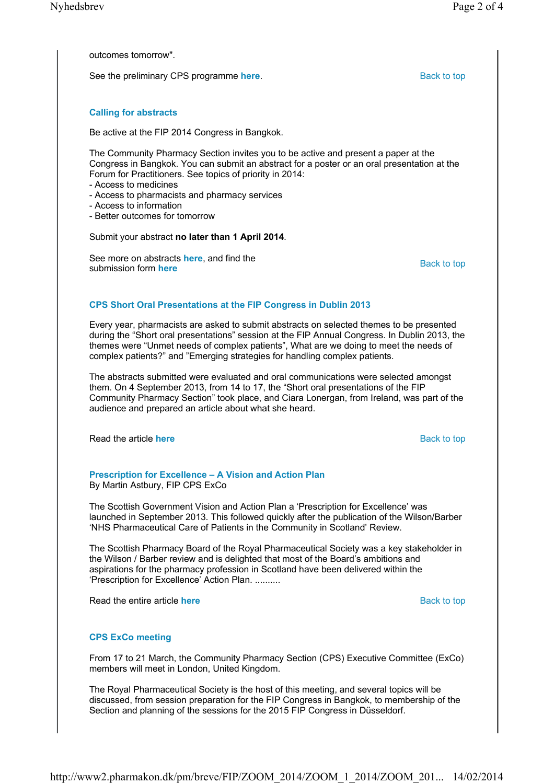outcomes tomorrow".

See the preliminary CPS programme **here**. Back to top Back to top

## **Calling for abstracts**

Be active at the FIP 2014 Congress in Bangkok.

The Community Pharmacy Section invites you to be active and present a paper at the Congress in Bangkok. You can submit an abstract for a poster or an oral presentation at the Forum for Practitioners. See topics of priority in 2014:

- Access to medicines
- Access to pharmacists and pharmacy services
- Access to information
- Better outcomes for tomorrow

Submit your abstract **no later than 1 April 2014**.

See more on abstracts **here**, and find the submission form **here**, and find the Back to top submission form **here** 

# **CPS Short Oral Presentations at the FIP Congress in Dublin 2013**

Every year, pharmacists are asked to submit abstracts on selected themes to be presented during the "Short oral presentations" session at the FIP Annual Congress. In Dublin 2013, the themes were "Unmet needs of complex patients", What are we doing to meet the needs of complex patients?" and "Emerging strategies for handling complex patients.

The abstracts submitted were evaluated and oral communications were selected amongst them. On 4 September 2013, from 14 to 17, the "Short oral presentations of the FIP Community Pharmacy Section" took place, and Ciara Lonergan, from Ireland, was part of the audience and prepared an article about what she heard.

**Read the article here Back to top and the article here** Back to top **Back to top** 

#### **Prescription for Excellence – A Vision and Action Plan** By Martin Astbury, FIP CPS ExCo

The Scottish Government Vision and Action Plan a 'Prescription for Excellence' was launched in September 2013. This followed quickly after the publication of the Wilson/Barber 'NHS Pharmaceutical Care of Patients in the Community in Scotland' Review.

The Scottish Pharmacy Board of the Royal Pharmaceutical Society was a key stakeholder in the Wilson / Barber review and is delighted that most of the Board's ambitions and aspirations for the pharmacy profession in Scotland have been delivered within the 'Prescription for Excellence' Action Plan. ..........

Read the entire article **here** Back to top **Back to top** 

## **CPS ExCo meeting**

From 17 to 21 March, the Community Pharmacy Section (CPS) Executive Committee (ExCo) members will meet in London, United Kingdom.

The Royal Pharmaceutical Society is the host of this meeting, and several topics will be discussed, from session preparation for the FIP Congress in Bangkok, to membership of the Section and planning of the sessions for the 2015 FIP Congress in Düsseldorf.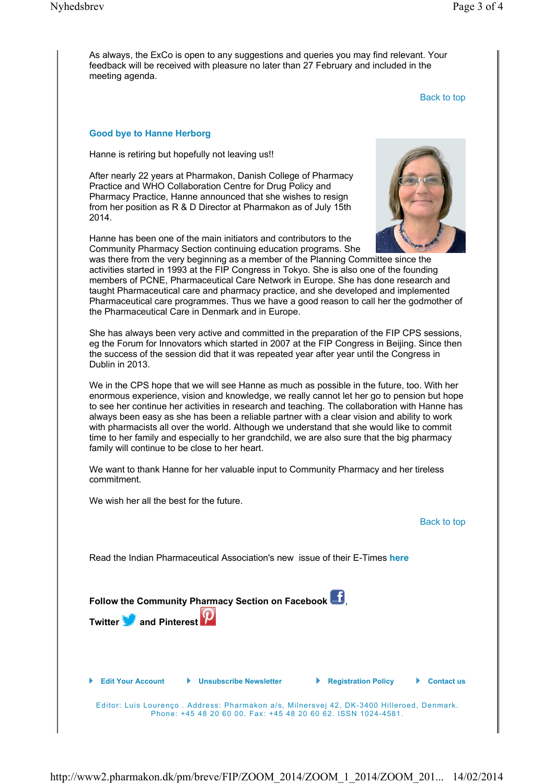As always, the ExCo is open to any suggestions and queries you may find relevant. Your feedback will be received with pleasure no later than 27 February and included in the meeting agenda.

Back to top

#### **Good bye to Hanne Herborg**

Hanne is retiring but hopefully not leaving us!!

After nearly 22 years at Pharmakon, Danish College of Pharmacy Practice and WHO Collaboration Centre for Drug Policy and Pharmacy Practice, Hanne announced that she wishes to resign from her position as R & D Director at Pharmakon as of July 15th 2014.

Hanne has been one of the main initiators and contributors to the Community Pharmacy Section continuing education programs. She



was there from the very beginning as a member of the Planning Committee since the activities started in 1993 at the FIP Congress in Tokyo. She is also one of the founding members of PCNE, Pharmaceutical Care Network in Europe. She has done research and taught Pharmaceutical care and pharmacy practice, and she developed and implemented Pharmaceutical care programmes. Thus we have a good reason to call her the godmother of the Pharmaceutical Care in Denmark and in Europe.

She has always been very active and committed in the preparation of the FIP CPS sessions, eg the Forum for Innovators which started in 2007 at the FIP Congress in Beijing. Since then the success of the session did that it was repeated year after year until the Congress in Dublin in 2013.

We in the CPS hope that we will see Hanne as much as possible in the future, too. With her enormous experience, vision and knowledge, we really cannot let her go to pension but hope to see her continue her activities in research and teaching. The collaboration with Hanne has always been easy as she has been a reliable partner with a clear vision and ability to work with pharmacists all over the world. Although we understand that she would like to commit time to her family and especially to her grandchild, we are also sure that the big pharmacy family will continue to be close to her heart.

We want to thank Hanne for her valuable input to Community Pharmacy and her tireless commitment.

We wish her all the best for the future.

#### Back to top

Read the Indian Pharmaceutical Association's new issue of their E-Times **here**

| Follow the Community Pharmacy Section on Facebook <b>3.</b><br>Twitter <b>of</b> and Pinterest <b>P</b> |                                                                                                                                                            |                            |                   |
|---------------------------------------------------------------------------------------------------------|------------------------------------------------------------------------------------------------------------------------------------------------------------|----------------------------|-------------------|
| <b>Edit Your Account</b>                                                                                | <b>Unsubscribe Newsletter</b>                                                                                                                              | <b>Registration Policy</b> | <b>Contact us</b> |
|                                                                                                         | Editor: Luis Lourenço. Address: Pharmakon a/s, Milnersvej 42, DK-3400 Hilleroed, Denmark.<br>Phone: +45 48 20 60 00. Fax: +45 48 20 60 62. ISSN 1024-4581. |                            |                   |